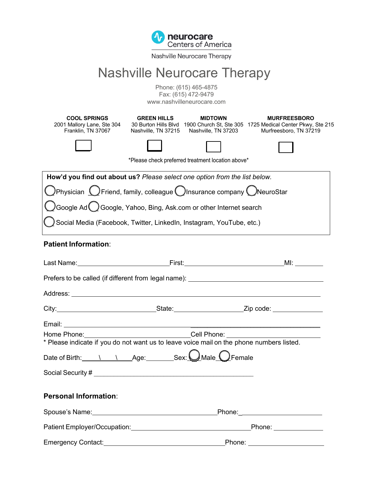

Nashville Neurocare Therapy

# Nashville Neurocare Therapy

| Phone: (615) 465-4875<br>Fax: (615) 472-9479<br>www.nashvilleneurocare.com                                  |                                           |                                       |                                                                                                                                 |  |
|-------------------------------------------------------------------------------------------------------------|-------------------------------------------|---------------------------------------|---------------------------------------------------------------------------------------------------------------------------------|--|
| <b>COOL SPRINGS</b><br>2001 Mallory Lane, Ste 304<br>Franklin, TN 37067                                     | <b>GREEN HILLS</b><br>Nashville, TN 37215 | <b>MIDTOWN</b><br>Nashville, TN 37203 | <b>MURFREESBORO</b><br>30 Burton Hills Blvd 1900 Church St, Ste 305 1725 Medical Center Pkwy, Ste 215<br>Murfreesboro, TN 37219 |  |
|                                                                                                             |                                           |                                       |                                                                                                                                 |  |
| *Please check preferred treatment location above*                                                           |                                           |                                       |                                                                                                                                 |  |
| How'd you find out about us? Please select one option from the list below.                                  |                                           |                                       |                                                                                                                                 |  |
| $\bigcirc$ Physician $\bigcirc$ Friend, family, colleague $\bigcirc$ Insurance company $\bigcirc$ NeuroStar |                                           |                                       |                                                                                                                                 |  |
| $\bigcup$ Google Ad $\bigcirc$ Google, Yahoo, Bing, Ask.com or other Internet search                        |                                           |                                       |                                                                                                                                 |  |
| Social Media (Facebook, Twitter, LinkedIn, Instagram, YouTube, etc.)                                        |                                           |                                       |                                                                                                                                 |  |

### **Patient Information**:

| Home Phone: ___________________________________Cell Phone: _____________________         |  |
|------------------------------------------------------------------------------------------|--|
| * Please indicate if you do not want us to leave voice mail on the phone numbers listed. |  |
|                                                                                          |  |
|                                                                                          |  |
|                                                                                          |  |
|                                                                                          |  |
|                                                                                          |  |
|                                                                                          |  |
| Date of Birth: \ \ Age: _ _ _ _ Sex: O_Male O_Female<br><b>Personal Information:</b>     |  |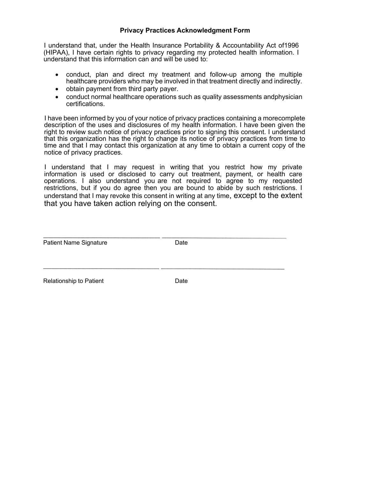#### **Privacy Practices Acknowledgment Form**

I understand that, under the Health Insurance Portability & Accountability Act of1996 (HIPAA), I have certain rights to privacy regarding my protected health information. I understand that this information can and will be used to:

- conduct, plan and direct my treatment and follow-up among the multiple healthcare providers who may be involved in that treatment directly and indirectly.
- obtain payment from third party payer.
- conduct normal healthcare operations such as quality assessments andphysician certifications.

I have been informed by you of your notice of privacy practices containing a morecomplete description of the uses and disclosures of my health information. I have been given the right to review such notice of privacy practices prior to signing this consent. I understand that this organization has the right to change its notice of privacy practices from time to time and that I may contact this organization at any time to obtain a current copy of the notice of privacy practices.

I understand that I may request in writing that you restrict how my private information is used or disclosed to carry out treatment, payment, or health care operations. I also understand you are not required to agree to my requested restrictions, but if you do agree then you are bound to abide by such restrictions. I understand that I may revoke this consent in writing at any time, except to the extent that you have taken action relying on the consent.

| Patient Name Signature  | Date |
|-------------------------|------|
| Relationship to Patient | Date |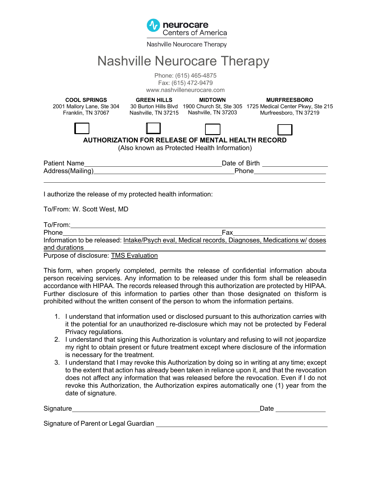

Nashville Neurocare Therapy

## Nashville Neurocare Therapy

Phone: (615) 465-4875 Fax: (615) 472-9479 www.nashvilleneurocare.com **AUTHORIZATION FOR RELEASE OF MENTAL HEALTH RECORD** (Also known as Protected Health Information) Patient Name **Date of Birth** Address(Mailing) **Phone Phone** I authorize the release of my protected health information: **COOL SPRINGS** 2001 Mallory Lane, Ste 304 Franklin, TN 37067 **GREEN HILLS** 30 Burton Hills Blvd 1900 Church St, Ste 305 1725 Medical Center Pkwy, Ste 215 Nashville, TN 37215 Nashville, TN 37203 **MIDTOWN MURFREESBORO** Murfreesboro, TN 37219

To/From: W. Scott West, MD

| To/From:       |                                                                                                 |
|----------------|-------------------------------------------------------------------------------------------------|
| Phone          | Fax                                                                                             |
|                | Information to be released: Intake/Psych eval, Medical records, Diagnoses, Medications w/ doses |
| and durations  |                                                                                                 |
| . <del>.</del> |                                                                                                 |

Purpose of disclosure: TMS Evaluation

This form, when properly completed, permits the release of confidential information abouta person receiving services. Any information to be released under this form shall be releasedin accordance with HIPAA. The records released through this authorization are protected by HIPAA. Further disclosure of this information to parties other than those designated on thisform is prohibited without the written consent of the person to whom the information pertains.

- 1. I understand that information used or disclosed pursuant to this authorization carries with it the potential for an unauthorized re-disclosure which may not be protected by Federal Privacy regulations.
- 2. I understand that signing this Authorization is voluntary and refusing to will not jeopardize my right to obtain present or future treatment except where disclosure of the information is necessary for the treatment.
- 3. I understand that I may revoke this Authorization by doing so in writing at any time; except to the extent that action has already been taken in reliance upon it, and that the revocation does not affect any information that was released before the revocation. Even if I do not revoke this Authorization, the Authorization expires automatically one (1) year from the date of signature.

| Signature                             | Date |
|---------------------------------------|------|
| Signature of Parent or Legal Guardian |      |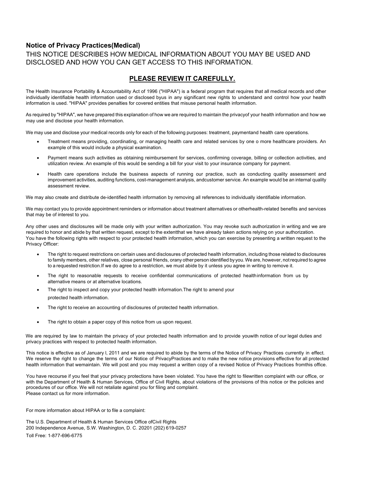#### **Notice of Privacy Practices(Medical)**

#### THIS NOTICE DESCRIBES HOW MEDICAL INFORMATION ABOUT YOU MAY BE USED AND DISCLOSED AND HOW YOU CAN GET ACCESS TO THIS INFORMATION.

#### **PLEASE REVIEW IT CAREFULLY.**

The Health Insurance Portability & Accountability Act of 1996 ("HIPAA") is a federal program that requires that all medical records and other individually identifiable health information used or disclosed byus in any significant new rights to understand and control how your health information is used. "HIPAA" provides penalties for covered entities that misuse personal health information.

As required by "HIPAA", we have prepared this explanation of how we are required to maintain the privacyof your health information and how we may use and disclose your health information.

We may use and disclose your medical records only for each of the following purposes: treatment, paymentand health care operations.

- Treatment means providing, coordinating, or managing health care and related services by one o more healthcare providers. An example of this would include a physical examination.
- Payment means such activities as obtaining reimbursement for services, confirming coverage, billing or collection activities, and utilization review. An example of this would be sending a bill for your visit to your insurance company for payment.
- Health care operations include the business aspects of running our practice, such as conducting quality assessment and improvement activities, auditing functions, cost-management analysis, andcustomer service. An example would be an internal quality assessment review.

We may also create and distribute de-identified health information by removing all references to individually identifiable information.

We may contact you to provide appointment reminders or information about treatment alternatives or otherhealth-related benefits and services that may be of interest to you.

Any other uses and disclosures will be made only with your written authorization. You may revoke such authorization in writing and we are required to honor and abide by that written request, except to the extentthat we have already taken actions relying on your authorization. You have the following rights with respect to your protected health information, which you can exercise by presenting a written request to the Privacy Officer:

- The right to request restrictions on certain uses and disclosures of protected health information, including those related to disclosures to family members, other relatives, close personal friends, orany other person identified by you.We are, however, notrequired to agree to a requested restriction.If we do agree to a restriction, we must abide by it unless you agree in writing to remove it.
- The right to reasonable requests to receive confidential communications of protected healthinformation from us by alternative means or at alternative locations.
- The right to inspect and copy your protected health information.The right to amend your protected health information.
- The right to receive an accounting of disclosures of protected health information.
- The right to obtain a paper copy of this notice from us upon request.

We are required by law to maintain the privacy of your protected health information and to provide youwith notice of our legal duties and privacy practices with respect to protected health information.

This notice is effective as of January l, 2011 and we are required to abide by the terms of the Notice of Privacy Practices currently in effect. We reserve the right to change the terms of our Notice of PrivacyPractices and to make the new notice provisions effective for all protected health information that wemaintain. We will post and you may request a written copy of a revised Notice of Privacy Practices fromthis office.

You have recourse if you feel that your privacy protections have been violated. You have the right to filewritten complaint with our office, or with the Department of Health & Human Services, Office of Civil Rights, about violations of the provisions of this notice or the policies and procedures of our office. We will not retaliate against you for filing and complaint. Please contact us for more information.

For more information about HIPAA or to file a complaint:

The U.S. Department of Health & Human Services Office ofCivil Rights 200 Independence Avenue, S.W. Washington, D. C. 20201 (202) 619-0257 Toll Free: 1-877-696-6775